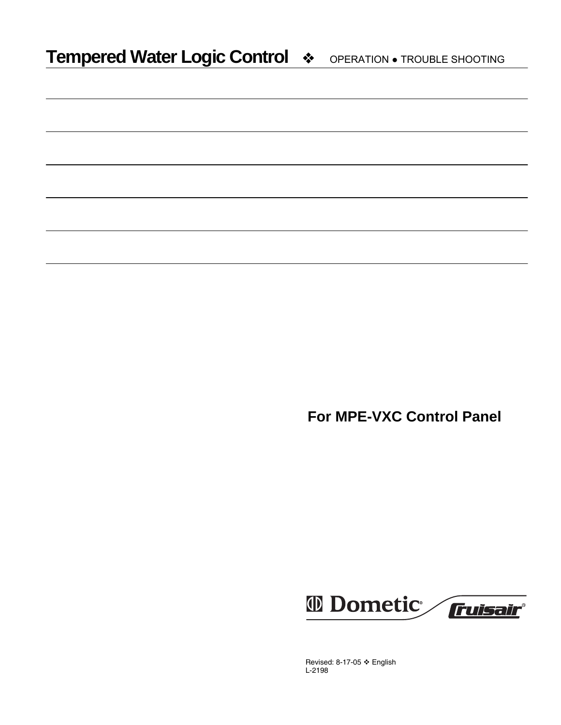**For MPE-VXC Control Panel** 



Revised: 8-17-05 ❖ English L-2198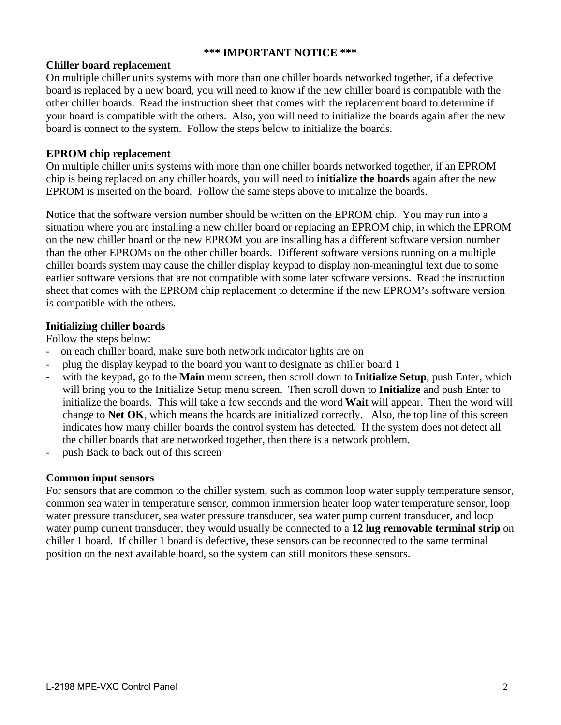# **\*\*\* IMPORTANT NOTICE \*\*\***

# **Chiller board replacement**

On multiple chiller units systems with more than one chiller boards networked together, if a defective board is replaced by a new board, you will need to know if the new chiller board is compatible with the other chiller boards. Read the instruction sheet that comes with the replacement board to determine if your board is compatible with the others. Also, you will need to initialize the boards again after the new board is connect to the system. Follow the steps below to initialize the boards.

# **EPROM chip replacement**

On multiple chiller units systems with more than one chiller boards networked together, if an EPROM chip is being replaced on any chiller boards, you will need to **initialize the boards** again after the new EPROM is inserted on the board. Follow the same steps above to initialize the boards.

Notice that the software version number should be written on the EPROM chip. You may run into a situation where you are installing a new chiller board or replacing an EPROM chip, in which the EPROM on the new chiller board or the new EPROM you are installing has a different software version number than the other EPROMs on the other chiller boards. Different software versions running on a multiple chiller boards system may cause the chiller display keypad to display non-meaningful text due to some earlier software versions that are not compatible with some later software versions. Read the instruction sheet that comes with the EPROM chip replacement to determine if the new EPROM's software version is compatible with the others.

### **Initializing chiller boards**

Follow the steps below:

- on each chiller board, make sure both network indicator lights are on
- plug the display keypad to the board you want to designate as chiller board 1
- with the keypad, go to the **Main** menu screen, then scroll down to **Initialize Setup**, push Enter, which will bring you to the Initialize Setup menu screen. Then scroll down to **Initialize** and push Enter to initialize the boards. This will take a few seconds and the word **Wait** will appear. Then the word will change to **Net OK**, which means the boards are initialized correctly. Also, the top line of this screen indicates how many chiller boards the control system has detected. If the system does not detect all the chiller boards that are networked together, then there is a network problem.
- push Back to back out of this screen

### **Common input sensors**

For sensors that are common to the chiller system, such as common loop water supply temperature sensor, common sea water in temperature sensor, common immersion heater loop water temperature sensor, loop water pressure transducer, sea water pressure transducer, sea water pump current transducer, and loop water pump current transducer, they would usually be connected to a **12 lug removable terminal strip** on chiller 1 board. If chiller 1 board is defective, these sensors can be reconnected to the same terminal position on the next available board, so the system can still monitors these sensors.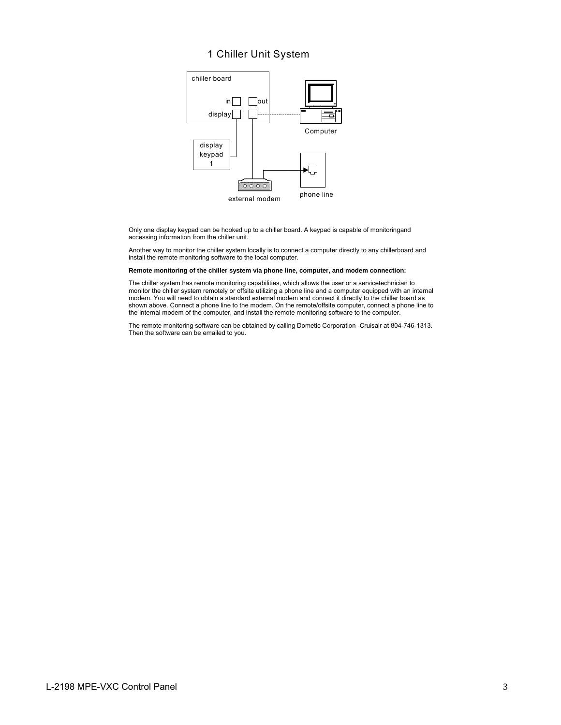### 1 Chiller Unit System



Only one display keypad can be hooked up to a chiller board. A keypad is capable of monitoringand accessing information from the chiller unit.

Another way to monitor the chiller system locally is to connect a computer directly to any chillerboard and install the remote monitoring software to the local computer.

#### **Remote monitoring of the chiller system via phone line, computer, and modem connection:**

The chiller system has remote monitoring capabilities, which allows the user or a servicetechnician to monitor the chiller system remotely or offsite utilizing a phone line and a computer equipped with an internal modem. You will need to obtain a standard external modem and connect it directly to the chiller board as shown above. Connect a phone line to the modem. On the remote/offsite computer, connect a phone line to the internal modem of the computer, and install the remote monitoring software to the computer.

The remote monitoring software can be obtained by calling Dometic Corporation -Cruisair at 804-746-1313. Then the software can be emailed to you.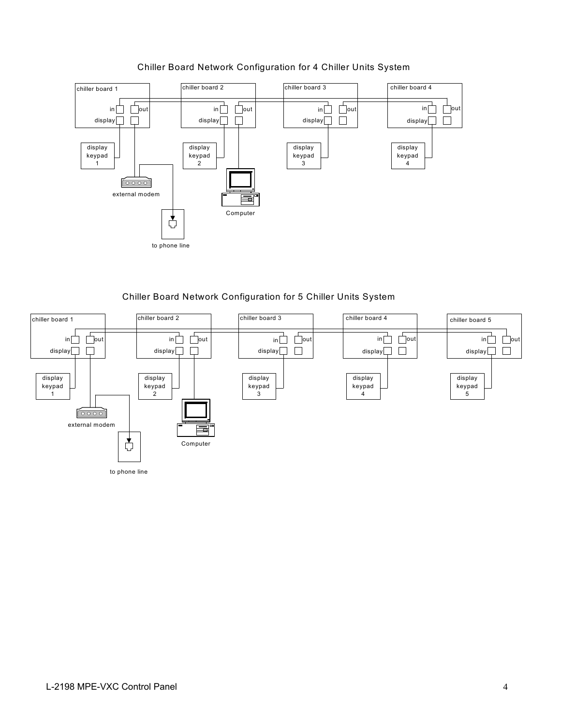

# Chiller Board Network Configuration for 4 Chiller Units System

Chiller Board Network Configuration for 5 Chiller Units System

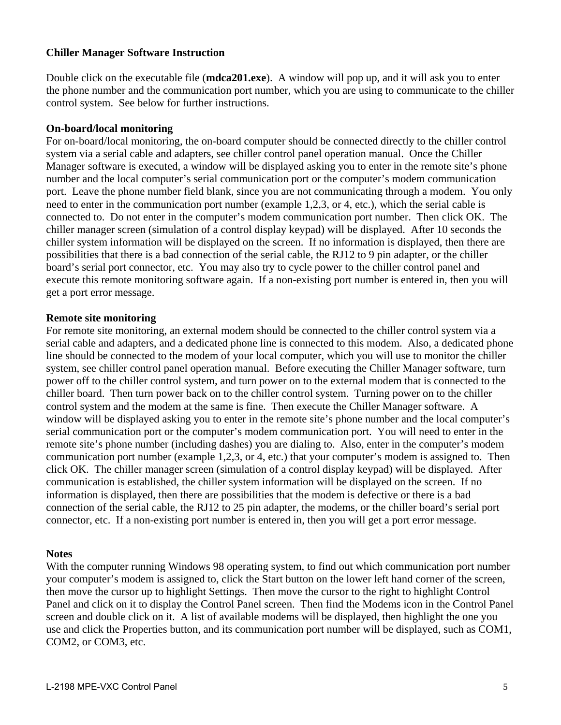# **Chiller Manager Software Instruction**

Double click on the executable file (**mdca201.exe**). A window will pop up, and it will ask you to enter the phone number and the communication port number, which you are using to communicate to the chiller control system. See below for further instructions.

# **On-board/local monitoring**

For on-board/local monitoring, the on-board computer should be connected directly to the chiller control system via a serial cable and adapters, see chiller control panel operation manual. Once the Chiller Manager software is executed, a window will be displayed asking you to enter in the remote site's phone number and the local computer's serial communication port or the computer's modem communication port. Leave the phone number field blank, since you are not communicating through a modem. You only need to enter in the communication port number (example 1,2,3, or 4, etc.), which the serial cable is connected to. Do not enter in the computer's modem communication port number. Then click OK. The chiller manager screen (simulation of a control display keypad) will be displayed. After 10 seconds the chiller system information will be displayed on the screen. If no information is displayed, then there are possibilities that there is a bad connection of the serial cable, the RJ12 to 9 pin adapter, or the chiller board's serial port connector, etc. You may also try to cycle power to the chiller control panel and execute this remote monitoring software again. If a non-existing port number is entered in, then you will get a port error message.

# **Remote site monitoring**

For remote site monitoring, an external modem should be connected to the chiller control system via a serial cable and adapters, and a dedicated phone line is connected to this modem. Also, a dedicated phone line should be connected to the modem of your local computer, which you will use to monitor the chiller system, see chiller control panel operation manual. Before executing the Chiller Manager software, turn power off to the chiller control system, and turn power on to the external modem that is connected to the chiller board. Then turn power back on to the chiller control system. Turning power on to the chiller control system and the modem at the same is fine. Then execute the Chiller Manager software. A window will be displayed asking you to enter in the remote site's phone number and the local computer's serial communication port or the computer's modem communication port. You will need to enter in the remote site's phone number (including dashes) you are dialing to. Also, enter in the computer's modem communication port number (example 1,2,3, or 4, etc.) that your computer's modem is assigned to. Then click OK. The chiller manager screen (simulation of a control display keypad) will be displayed. After communication is established, the chiller system information will be displayed on the screen. If no information is displayed, then there are possibilities that the modem is defective or there is a bad connection of the serial cable, the RJ12 to 25 pin adapter, the modems, or the chiller board's serial port connector, etc. If a non-existing port number is entered in, then you will get a port error message.

# **Notes**

With the computer running Windows 98 operating system, to find out which communication port number your computer's modem is assigned to, click the Start button on the lower left hand corner of the screen, then move the cursor up to highlight Settings. Then move the cursor to the right to highlight Control Panel and click on it to display the Control Panel screen. Then find the Modems icon in the Control Panel screen and double click on it. A list of available modems will be displayed, then highlight the one you use and click the Properties button, and its communication port number will be displayed, such as COM1, COM2, or COM3, etc.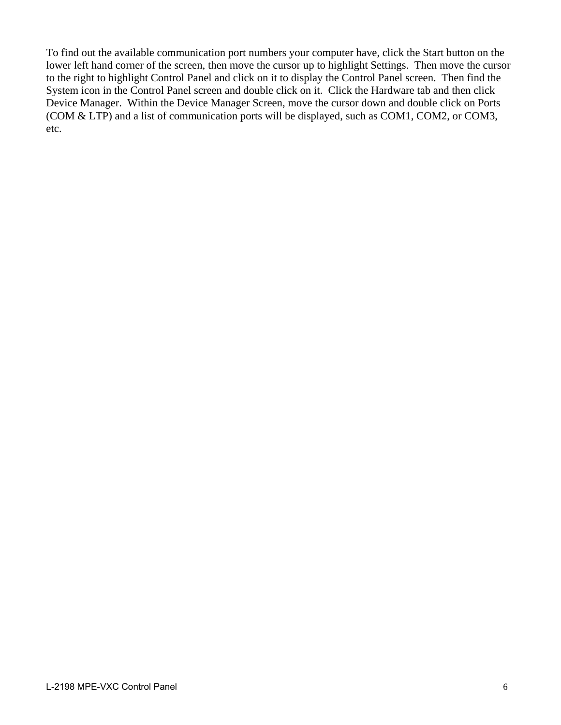To find out the available communication port numbers your computer have, click the Start button on the lower left hand corner of the screen, then move the cursor up to highlight Settings. Then move the cursor to the right to highlight Control Panel and click on it to display the Control Panel screen. Then find the System icon in the Control Panel screen and double click on it. Click the Hardware tab and then click Device Manager. Within the Device Manager Screen, move the cursor down and double click on Ports (COM & LTP) and a list of communication ports will be displayed, such as COM1, COM2, or COM3, etc.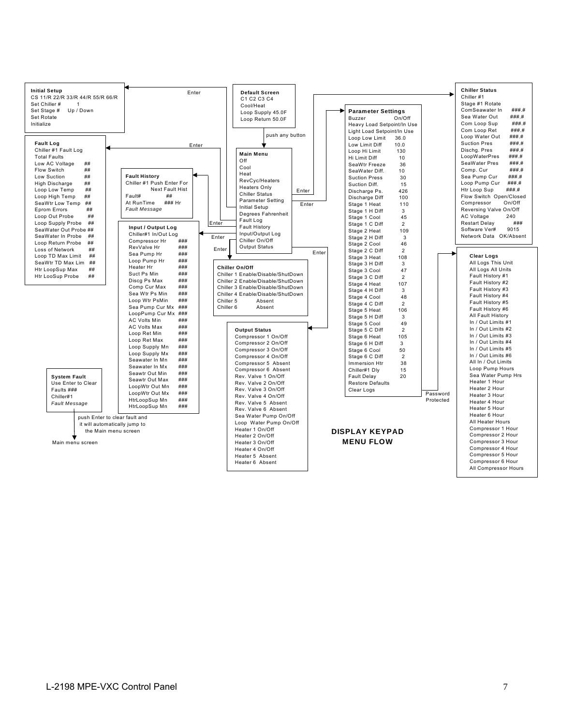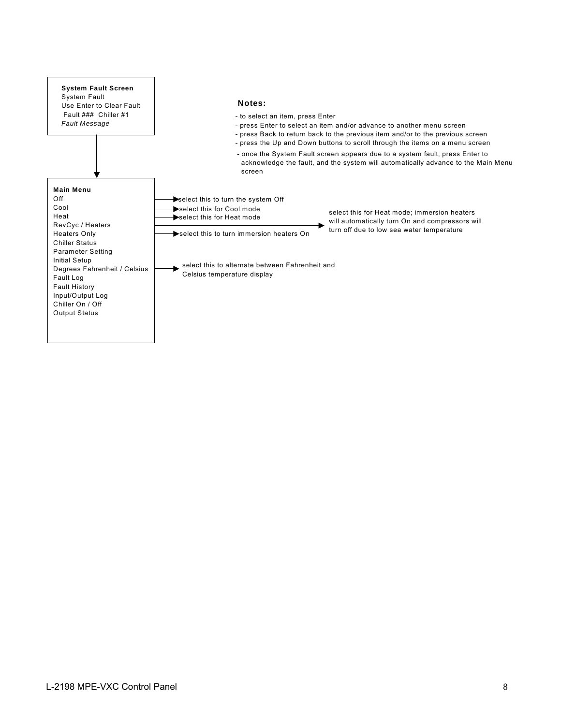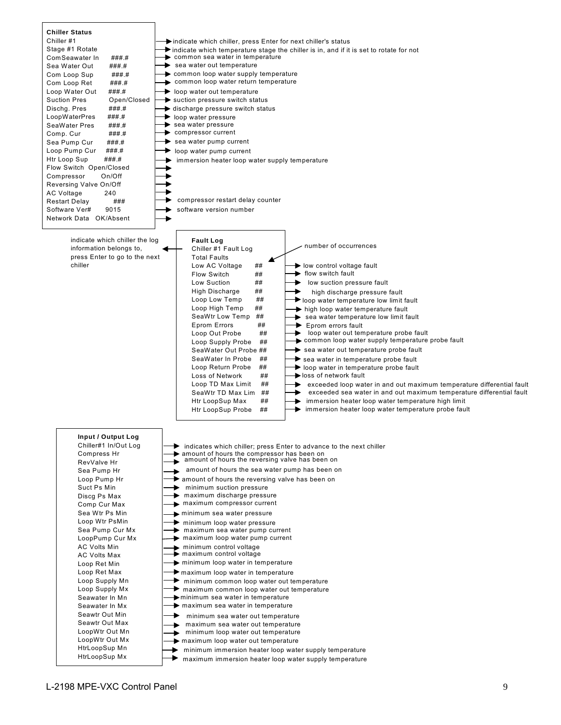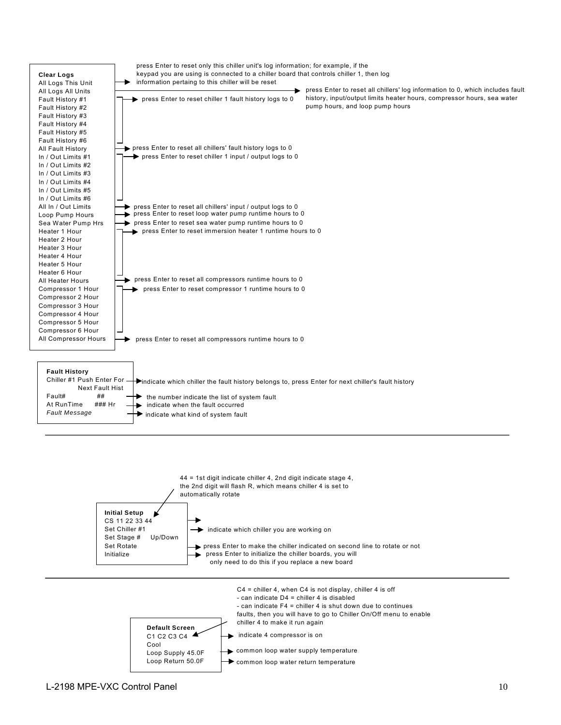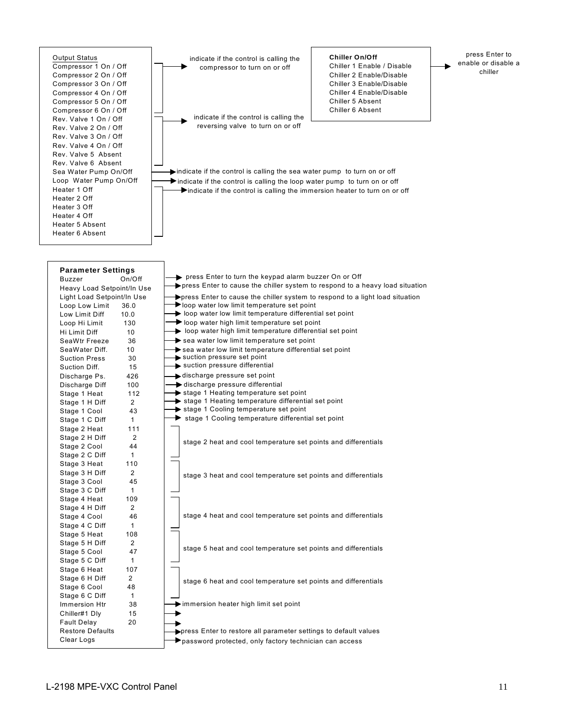

indicate if the control is calling the compressor to turn on or off

indicate if the control is calling the reversing valve to turn on or off

**Chiller On/Off** Chiller 1 Enable / Disable Chiller 2 Enable/Disable Chiller 3 Enable/Disable Chiller 4 Enable/Disable Chiller 5 Absent Chiller 6 Absent

press Enter to enable or disable a chiller

indicate if the control is calling the sea water pump to turn on or off indicate if the control is calling the loop water pump to turn on or off  $\blacktriangleright$  indicate if the control is calling the immersion heater to turn on or off

| <b>Parameter Settings</b>  |                 |                                                                                            |
|----------------------------|-----------------|--------------------------------------------------------------------------------------------|
| <b>Buzzer</b>              | On/Off          | press Enter to turn the keypad alarm buzzer On or Off                                      |
| Heavy Load Setpoint/In Use |                 | $\rightarrow$ press Enter to cause the chiller system to respond to a heavy load situation |
| Light Load Setpoint/In Use |                 | press Enter to cause the chiller system to respond to a light load situation               |
| Loop Low Limit             | 36.0            | $\blacktriangleright$ loop water low limit temperature set point                           |
| Low Limit Diff             | 10.0            | loop water low limit temperature differential set point                                    |
| Loop Hi Limit              | 130             | $\rightarrow$ loop water high limit temperature set point                                  |
| Hi Limit Diff              | 10 <sup>°</sup> | loop water high limit temperature differential set point                                   |
| SeaWtr Freeze              | 36              | $\rightarrow$ sea water low limit temperature set point                                    |
| SeaWater Diff.             | 10              | $\rightarrow$ sea water low limit temperature differential set point                       |
| <b>Suction Press</b>       | 30              | suction pressure set point                                                                 |
| Suction Diff.              | 15              | suction pressure differential                                                              |
| Discharge Ps.              | 426             | → discharge pressure set point                                                             |
| Discharge Diff             | 100             | Settleright discharge pressure differential                                                |
| Stage 1 Heat               | 112             | stage 1 Heating temperature set point                                                      |
| Stage 1 H Diff             | $\overline{2}$  | stage 1 Heating temperature differential set point                                         |
| Stage 1 Cool               | 43              | stage 1 Cooling temperature set point                                                      |
| Stage 1 C Diff             | $\mathbf{1}$    | stage 1 Cooling temperature differential set point                                         |
| Stage 2 Heat               | 111             |                                                                                            |
| Stage 2 H Diff             | 2               |                                                                                            |
| Stage 2 Cool               | 44              | stage 2 heat and cool temperature set points and differentials                             |
| Stage 2 C Diff             | $\mathbf{1}$    |                                                                                            |
| Stage 3 Heat               | 110             |                                                                                            |
| Stage 3 H Diff             | 2               | stage 3 heat and cool temperature set points and differentials                             |
| Stage 3 Cool               | 45              |                                                                                            |
| Stage 3 C Diff             | $\mathbf{1}$    |                                                                                            |
| Stage 4 Heat               | 109             |                                                                                            |
| Stage 4 H Diff             | $\overline{2}$  |                                                                                            |
| Stage 4 Cool               | 46              | stage 4 heat and cool temperature set points and differentials                             |
| Stage 4 C Diff             | $\mathbf{1}$    |                                                                                            |
| Stage 5 Heat               | 108             |                                                                                            |
| Stage 5 H Diff             | $\overline{2}$  |                                                                                            |
| Stage 5 Cool               | 47              | stage 5 heat and cool temperature set points and differentials                             |
| Stage 5 C Diff             | $\mathbf{1}$    |                                                                                            |
| Stage 6 Heat               | 107             |                                                                                            |
| Stage 6 H Diff             | 2               | stage 6 heat and cool temperature set points and differentials                             |
| Stage 6 Cool               | 48              |                                                                                            |
| Stage 6 C Diff             | $\mathbf{1}$    |                                                                                            |
| Immersion Htr              | 38              | immersion heater high limit set point                                                      |
| Chiller#1 Dly              | 15              |                                                                                            |
| <b>Fault Delay</b>         | 20              |                                                                                            |
| <b>Restore Defaults</b>    |                 | press Enter to restore all parameter settings to default values                            |
| Clear Logs                 |                 | password protected, only factory technician can access                                     |
|                            |                 |                                                                                            |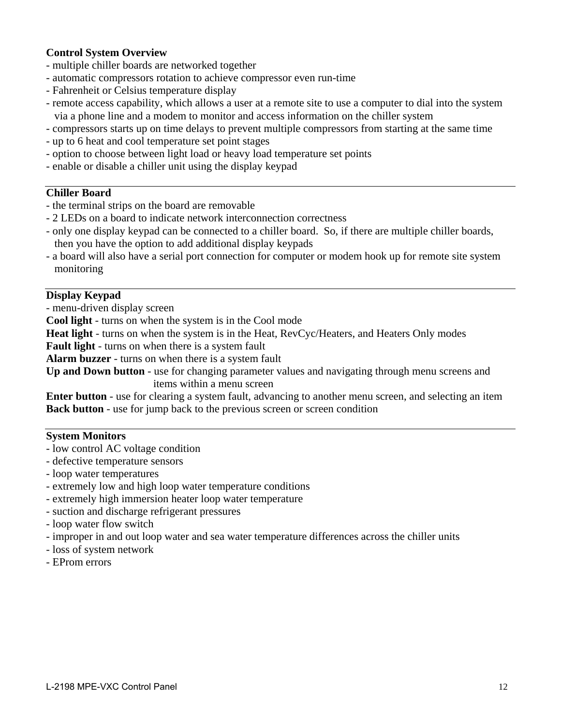# **Control System Overview**

- multiple chiller boards are networked together
- automatic compressors rotation to achieve compressor even run-time
- Fahrenheit or Celsius temperature display
- remote access capability, which allows a user at a remote site to use a computer to dial into the system via a phone line and a modem to monitor and access information on the chiller system
- compressors starts up on time delays to prevent multiple compressors from starting at the same time
- up to 6 heat and cool temperature set point stages
- option to choose between light load or heavy load temperature set points
- enable or disable a chiller unit using the display keypad

# **Chiller Board**

- the terminal strips on the board are removable
- 2 LEDs on a board to indicate network interconnection correctness
- only one display keypad can be connected to a chiller board. So, if there are multiple chiller boards, then you have the option to add additional display keypads
- a board will also have a serial port connection for computer or modem hook up for remote site system monitoring

# **Display Keypad**

- menu-driven display screen

**Cool light** - turns on when the system is in the Cool mode

**Heat light** - turns on when the system is in the Heat, RevCyc/Heaters, and Heaters Only modes

**Fault light** - turns on when there is a system fault

**Alarm buzzer** - turns on when there is a system fault

**Up and Down button** - use for changing parameter values and navigating through menu screens and items within a menu screen

**Enter button** - use for clearing a system fault, advancing to another menu screen, and selecting an item **Back button** - use for jump back to the previous screen or screen condition

# **System Monitors**

- low control AC voltage condition
- defective temperature sensors
- loop water temperatures
- extremely low and high loop water temperature conditions
- extremely high immersion heater loop water temperature
- suction and discharge refrigerant pressures
- loop water flow switch
- improper in and out loop water and sea water temperature differences across the chiller units
- loss of system network
- EProm errors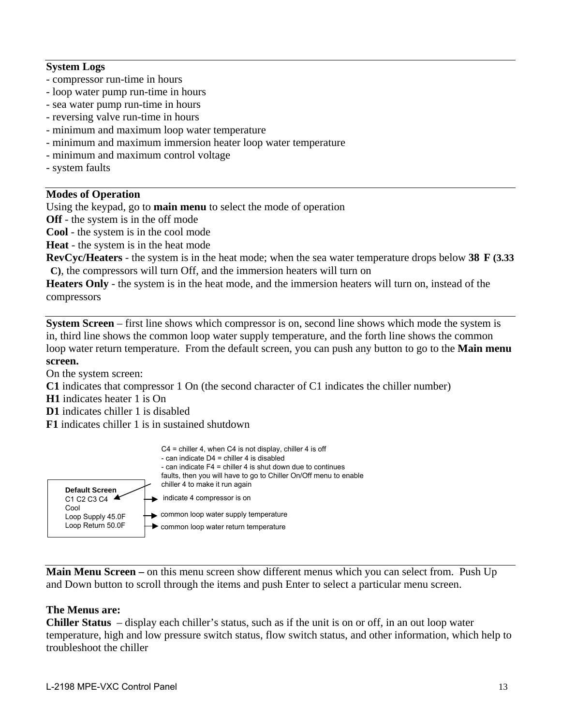# **System Logs**

- compressor run-time in hours
- loop water pump run-time in hours
- sea water pump run-time in hours
- reversing valve run-time in hours
- minimum and maximum loop water temperature
- minimum and maximum immersion heater loop water temperature
- minimum and maximum control voltage
- system faults

# **Modes of Operation**

Using the keypad, go to **main menu** to select the mode of operation

**Off** - the system is in the off mode

**Cool** - the system is in the cool mode

**Heat** - the system is in the heat mode

**RevCyc/Heaters** - the system is in the heat mode; when the sea water temperature drops below **38 F (3.33 C)**, the compressors will turn Off, and the immersion heaters will turn on

**Heaters Only** - the system is in the heat mode, and the immersion heaters will turn on, instead of the compressors

**System Screen** – first line shows which compressor is on, second line shows which mode the system is in, third line shows the common loop water supply temperature, and the forth line shows the common loop water return temperature. From the default screen, you can push any button to go to the **Main menu screen.**

On the system screen:

- **C1** indicates that compressor 1 On (the second character of C1 indicates the chiller number)
- **H1** indicates heater 1 is On
- **D1** indicates chiller 1 is disabled
- **F1** indicates chiller 1 is in sustained shutdown



**Main Menu Screen –** on this menu screen show different menus which you can select from. Push Up and Down button to scroll through the items and push Enter to select a particular menu screen.

# **The Menus are:**

**Chiller Status** – display each chiller's status, such as if the unit is on or off, in an out loop water temperature, high and low pressure switch status, flow switch status, and other information, which help to troubleshoot the chiller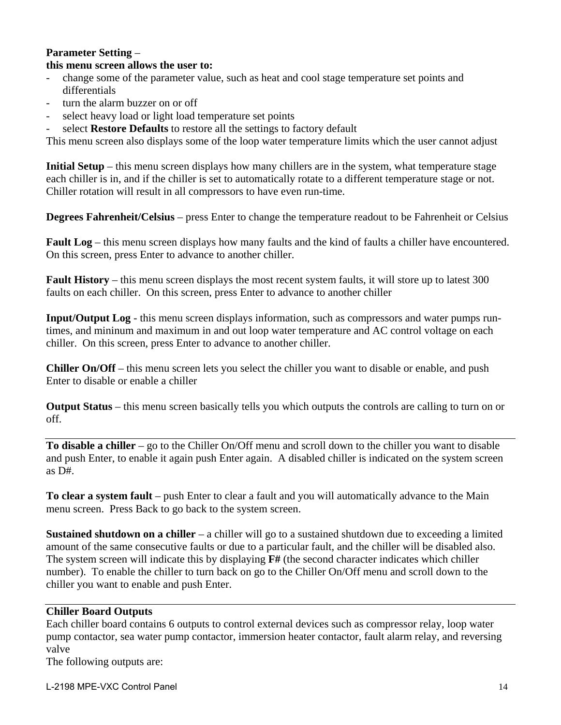# **Parameter Setting** – **this menu screen allows the user to:**

- change some of the parameter value, such as heat and cool stage temperature set points and differentials
- turn the alarm buzzer on or off
- select heavy load or light load temperature set points
- select **Restore Defaults** to restore all the settings to factory default

This menu screen also displays some of the loop water temperature limits which the user cannot adjust

**Initial Setup** – this menu screen displays how many chillers are in the system, what temperature stage each chiller is in, and if the chiller is set to automatically rotate to a different temperature stage or not. Chiller rotation will result in all compressors to have even run-time.

**Degrees Fahrenheit/Celsius** – press Enter to change the temperature readout to be Fahrenheit or Celsius

**Fault Log** – this menu screen displays how many faults and the kind of faults a chiller have encountered. On this screen, press Enter to advance to another chiller.

**Fault History** – this menu screen displays the most recent system faults, it will store up to latest 300 faults on each chiller. On this screen, press Enter to advance to another chiller

**Input/Output Log** - this menu screen displays information, such as compressors and water pumps runtimes, and mininum and maximum in and out loop water temperature and AC control voltage on each chiller. On this screen, press Enter to advance to another chiller.

**Chiller On/Off** – this menu screen lets you select the chiller you want to disable or enable, and push Enter to disable or enable a chiller

**Output Status** – this menu screen basically tells you which outputs the controls are calling to turn on or off.

**To disable a chiller** – go to the Chiller On/Off menu and scroll down to the chiller you want to disable and push Enter, to enable it again push Enter again. A disabled chiller is indicated on the system screen as D#.

**To clear a system fault** – push Enter to clear a fault and you will automatically advance to the Main menu screen. Press Back to go back to the system screen.

**Sustained shutdown on a chiller** – a chiller will go to a sustained shutdown due to exceeding a limited amount of the same consecutive faults or due to a particular fault, and the chiller will be disabled also. The system screen will indicate this by displaying **F#** (the second character indicates which chiller number). To enable the chiller to turn back on go to the Chiller On/Off menu and scroll down to the chiller you want to enable and push Enter.

# **Chiller Board Outputs**

Each chiller board contains 6 outputs to control external devices such as compressor relay, loop water pump contactor, sea water pump contactor, immersion heater contactor, fault alarm relay, and reversing valve

The following outputs are: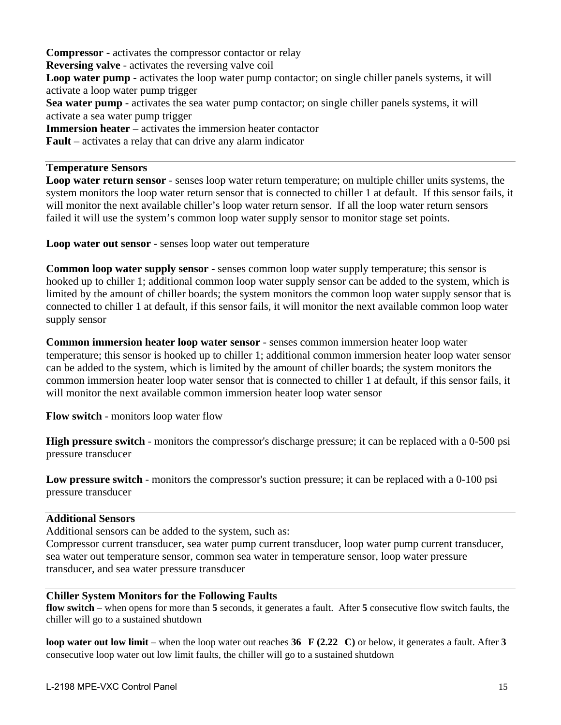**Compressor** - activates the compressor contactor or relay **Reversing valve** - activates the reversing valve coil **Loop water pump** - activates the loop water pump contactor; on single chiller panels systems, it will activate a loop water pump trigger **Sea water pump** - activates the sea water pump contactor; on single chiller panels systems, it will activate a sea water pump trigger **Immersion heater** – activates the immersion heater contactor **Fault** – activates a relay that can drive any alarm indicator

# **Temperature Sensors**

**Loop water return sensor** - senses loop water return temperature; on multiple chiller units systems, the system monitors the loop water return sensor that is connected to chiller 1 at default. If this sensor fails, it will monitor the next available chiller's loop water return sensor. If all the loop water return sensors failed it will use the system's common loop water supply sensor to monitor stage set points.

**Loop water out sensor** - senses loop water out temperature

**Common loop water supply sensor** - senses common loop water supply temperature; this sensor is hooked up to chiller 1; additional common loop water supply sensor can be added to the system, which is limited by the amount of chiller boards; the system monitors the common loop water supply sensor that is connected to chiller 1 at default, if this sensor fails, it will monitor the next available common loop water supply sensor

**Common immersion heater loop water sensor** - senses common immersion heater loop water temperature; this sensor is hooked up to chiller 1; additional common immersion heater loop water sensor can be added to the system, which is limited by the amount of chiller boards; the system monitors the common immersion heater loop water sensor that is connected to chiller 1 at default, if this sensor fails, it will monitor the next available common immersion heater loop water sensor

**Flow switch** - monitors loop water flow

**High pressure switch** - monitors the compressor's discharge pressure; it can be replaced with a 0-500 psi pressure transducer

**Low pressure switch** - monitors the compressor's suction pressure; it can be replaced with a 0-100 psi pressure transducer

# **Additional Sensors**

Additional sensors can be added to the system, such as:

Compressor current transducer, sea water pump current transducer, loop water pump current transducer, sea water out temperature sensor, common sea water in temperature sensor, loop water pressure transducer, and sea water pressure transducer

# **Chiller System Monitors for the Following Faults**

**flow switch** – when opens for more than **5** seconds, it generates a fault. After **5** consecutive flow switch faults, the chiller will go to a sustained shutdown

**loop water out low limit** – when the loop water out reaches **36 F (2.22 C)** or below, it generates a fault. After **3** consecutive loop water out low limit faults, the chiller will go to a sustained shutdown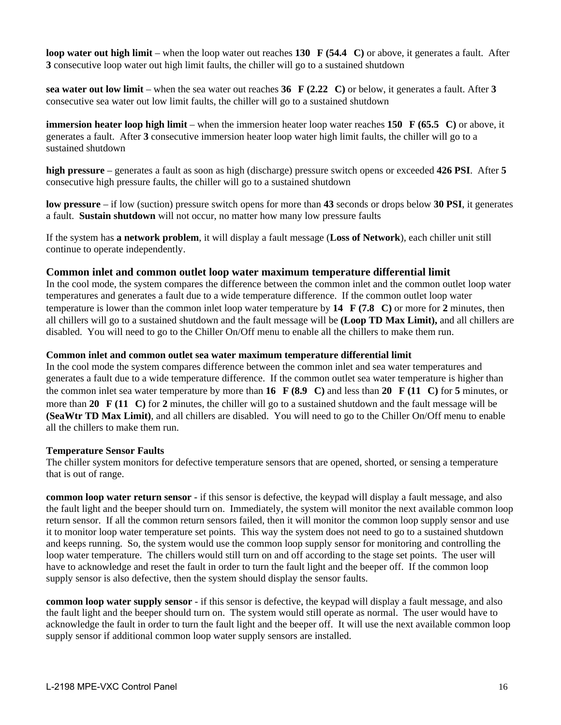**loop water out high limit** – when the loop water out reaches **130 F (54.4 C)** or above, it generates a fault. After **3** consecutive loop water out high limit faults, the chiller will go to a sustained shutdown

**sea water out low limit** – when the sea water out reaches **36 F (2.22 C)** or below, it generates a fault. After **3** consecutive sea water out low limit faults, the chiller will go to a sustained shutdown

**immersion heater loop high limit** – when the immersion heater loop water reaches **150 F (65.5 C)** or above, it generates a fault. After **3** consecutive immersion heater loop water high limit faults, the chiller will go to a sustained shutdown

**high pressure** – generates a fault as soon as high (discharge) pressure switch opens or exceeded **426 PSI**. After **5** consecutive high pressure faults, the chiller will go to a sustained shutdown

**low pressure** – if low (suction) pressure switch opens for more than **43** seconds or drops below **30 PSI**, it generates a fault. **Sustain shutdown** will not occur, no matter how many low pressure faults

If the system has **a network problem**, it will display a fault message (**Loss of Network**), each chiller unit still continue to operate independently.

#### **Common inlet and common outlet loop water maximum temperature differential limit**

In the cool mode, the system compares the difference between the common inlet and the common outlet loop water temperatures and generates a fault due to a wide temperature difference. If the common outlet loop water temperature is lower than the common inlet loop water temperature by **14 F (7.8 C)** or more for **2** minutes, then all chillers will go to a sustained shutdown and the fault message will be **(Loop TD Max Limit),** and all chillers are disabled.You will need to go to the Chiller On/Off menu to enable all the chillers to make them run.

#### **Common inlet and common outlet sea water maximum temperature differential limit**

In the cool mode the system compares difference between the common inlet and sea water temperatures and generates a fault due to a wide temperature difference. If the common outlet sea water temperature is higher than the common inlet sea water temperature by more than **16 F (8.9 C)** and less than **20 F (11 C)** for **5** minutes, or more than **20 F (11 C)** for **2** minutes, the chiller will go to a sustained shutdown and the fault message will be **(SeaWtr TD Max Limit)**, and all chillers are disabled.You will need to go to the Chiller On/Off menu to enable all the chillers to make them run.

#### **Temperature Sensor Faults**

The chiller system monitors for defective temperature sensors that are opened, shorted, or sensing a temperature that is out of range.

**common loop water return sensor** - if this sensor is defective, the keypad will display a fault message, and also the fault light and the beeper should turn on. Immediately, the system will monitor the next available common loop return sensor. If all the common return sensors failed, then it will monitor the common loop supply sensor and use it to monitor loop water temperature set points. This way the system does not need to go to a sustained shutdown and keeps running. So, the system would use the common loop supply sensor for monitoring and controlling the loop water temperature. The chillers would still turn on and off according to the stage set points. The user will have to acknowledge and reset the fault in order to turn the fault light and the beeper off. If the common loop supply sensor is also defective, then the system should display the sensor faults.

**common loop water supply sensor** - if this sensor is defective, the keypad will display a fault message, and also the fault light and the beeper should turn on. The system would still operate as normal. The user would have to acknowledge the fault in order to turn the fault light and the beeper off. It will use the next available common loop supply sensor if additional common loop water supply sensors are installed.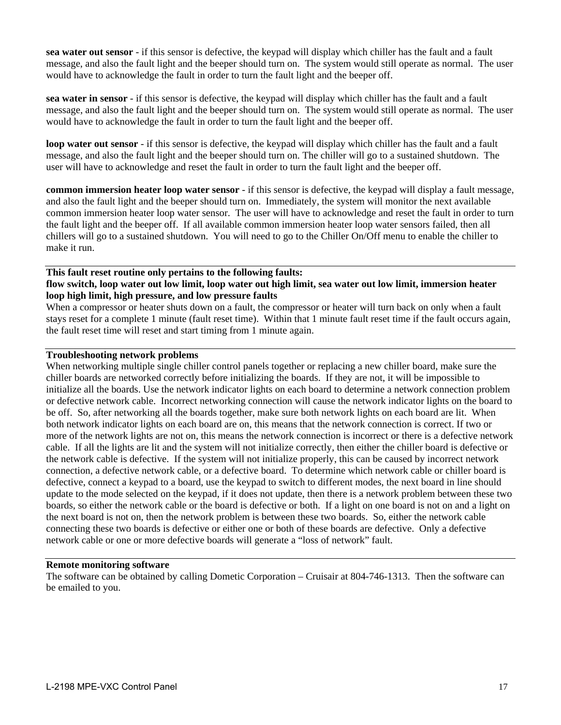**sea water out sensor** - if this sensor is defective, the keypad will display which chiller has the fault and a fault message, and also the fault light and the beeper should turn on. The system would still operate as normal. The user would have to acknowledge the fault in order to turn the fault light and the beeper off.

**sea water in sensor** - if this sensor is defective, the keypad will display which chiller has the fault and a fault message, and also the fault light and the beeper should turn on. The system would still operate as normal. The user would have to acknowledge the fault in order to turn the fault light and the beeper off.

**loop water out sensor** - if this sensor is defective, the keypad will display which chiller has the fault and a fault message, and also the fault light and the beeper should turn on. The chiller will go to a sustained shutdown. The user will have to acknowledge and reset the fault in order to turn the fault light and the beeper off.

**common immersion heater loop water sensor** - if this sensor is defective, the keypad will display a fault message, and also the fault light and the beeper should turn on. Immediately, the system will monitor the next available common immersion heater loop water sensor. The user will have to acknowledge and reset the fault in order to turn the fault light and the beeper off. If all available common immersion heater loop water sensors failed, then all chillers will go to a sustained shutdown. You will need to go to the Chiller On/Off menu to enable the chiller to make it run.

#### **This fault reset routine only pertains to the following faults: flow switch, loop water out low limit, loop water out high limit, sea water out low limit, immersion heater loop high limit, high pressure, and low pressure faults**

When a compressor or heater shuts down on a fault, the compressor or heater will turn back on only when a fault stays reset for a complete 1 minute (fault reset time). Within that 1 minute fault reset time if the fault occurs again, the fault reset time will reset and start timing from 1 minute again.

### **Troubleshooting network problems**

When networking multiple single chiller control panels together or replacing a new chiller board, make sure the chiller boards are networked correctly before initializing the boards. If they are not, it will be impossible to initialize all the boards. Use the network indicator lights on each board to determine a network connection problem or defective network cable. Incorrect networking connection will cause the network indicator lights on the board to be off. So, after networking all the boards together, make sure both network lights on each board are lit. When both network indicator lights on each board are on, this means that the network connection is correct. If two or more of the network lights are not on, this means the network connection is incorrect or there is a defective network cable. If all the lights are lit and the system will not initialize correctly, then either the chiller board is defective or the network cable is defective. If the system will not initialize properly, this can be caused by incorrect network connection, a defective network cable, or a defective board. To determine which network cable or chiller board is defective, connect a keypad to a board, use the keypad to switch to different modes, the next board in line should update to the mode selected on the keypad, if it does not update, then there is a network problem between these two boards, so either the network cable or the board is defective or both. If a light on one board is not on and a light on the next board is not on, then the network problem is between these two boards. So, either the network cable connecting these two boards is defective or either one or both of these boards are defective. Only a defective network cable or one or more defective boards will generate a "loss of network" fault.

### **Remote monitoring software**

The software can be obtained by calling Dometic Corporation – Cruisair at 804-746-1313. Then the software can be emailed to you.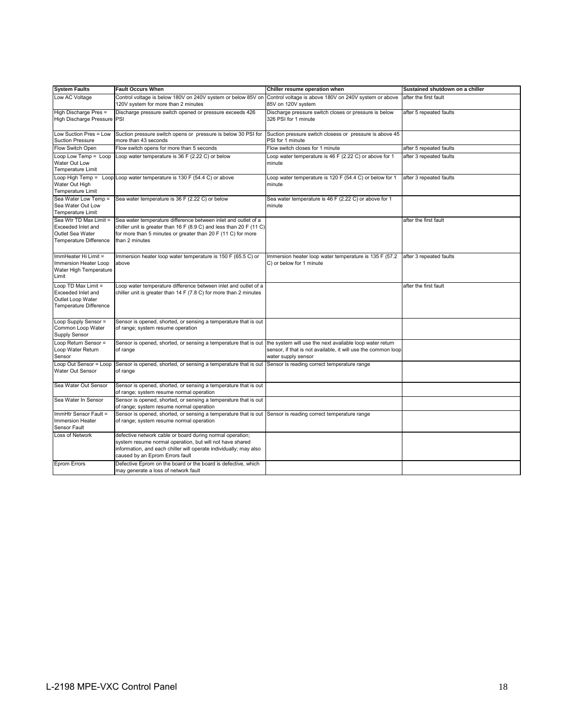| <b>System Faults</b>                                                                       | <b>Fault Occurs When</b>                                                                                                                                                                                                      | Chiller resume operation when                                                                                                                    | Sustained shutdown on a chiller |
|--------------------------------------------------------------------------------------------|-------------------------------------------------------------------------------------------------------------------------------------------------------------------------------------------------------------------------------|--------------------------------------------------------------------------------------------------------------------------------------------------|---------------------------------|
| Low AC Voltage                                                                             | Control voltage is below 180V on 240V system or below 85V on<br>120V system for more than 2 minutes                                                                                                                           | Control voltage is above 180V on 240V system or above<br>85V on 120V system                                                                      | after the first fault           |
| High Discharge Pres =<br>High Discharge Pressure PSI                                       | Discharge pressure switch opened or pressure exceeds 426                                                                                                                                                                      | Discharge pressure switch closes or pressure is below<br>326 PSI for 1 minute                                                                    | after 5 repeated faults         |
| Low Suction Pres = Low<br><b>Suction Pressure</b>                                          | Suction pressure switch opens or pressure is below 30 PSI for<br>more than 43 seconds                                                                                                                                         | Suction pressure switch closess or pressure is above 45<br>PSI for 1 minute                                                                      |                                 |
| Flow Switch Open                                                                           | Flow switch opens for more than 5 seconds                                                                                                                                                                                     | Flow switch closes for 1 minute                                                                                                                  | after 5 repeated faults         |
| $Loop Low Temp = Loop$<br>Water Out Low<br>Temperature Limit                               | Loop water temperature is 36 F (2.22 C) or below                                                                                                                                                                              | Loop water temperature is 46 F (2.22 C) or above for 1<br>minute                                                                                 | after 3 repeated faults         |
| Water Out High<br><b>Temperature Limit</b>                                                 | Loop High Temp = Loop Loop water temperature is 130 F (54.4 C) or above                                                                                                                                                       | Loop water temperature is 120 F (54.4 C) or below for 1<br>minute                                                                                | after 3 repeated faults         |
| Sea Water Low Temp =<br>Sea Water Out Low<br>Temperature Limit                             | Sea water temperature is 36 F (2.22 C) or below                                                                                                                                                                               | Sea water temperature is 46 F (2.22 C) or above for 1<br>minute                                                                                  |                                 |
| Sea Wtr TD Max Limit =<br>Exceeded Inlet and<br>Outlet Sea Water<br>Temperature Difference | Sea water temperature difference between inlet and outlet of a<br>chiller unit is greater than 16 F (8.9 C) and less than 20 F (11 C)<br>for more than 5 minutes or greater than 20 F (11 C) for more<br>than 2 minutes       |                                                                                                                                                  | after the first fault           |
| ImmHeater Hi Limit =<br>Immersion Heater Loop<br>Water High Temperature<br>Limit           | Immersion heater loop water temperature is 150 F (65.5 C) or<br>above                                                                                                                                                         | Immersion heater loop water temperature is 135 F (57.2)<br>C) or below for 1 minute                                                              | after 3 repeated faults         |
| Loop TD Max Limit =<br>Exceeded Inlet and<br>Outlet Loop Water<br>Temperature Difference   | Loop water temperature difference between inlet and outlet of a<br>chiller unit is greater than 14 F (7.8 C) for more than 2 minutes                                                                                          |                                                                                                                                                  | after the first fault           |
| Loop Supply Sensor =<br>Common Loop Water<br>Supply Sensor                                 | Sensor is opened, shorted, or sensing a temperature that is out<br>of range; system resume operation                                                                                                                          |                                                                                                                                                  |                                 |
| Loop Return Sensor =<br>Loop Water Return<br>Sensor                                        | Sensor is opened, shorted, or sensing a temperature that is out<br>of range                                                                                                                                                   | the system will use the next available loop water return<br>sensor, if that is not available, it will use the common loop<br>water supply sensor |                                 |
| Loop Out Sensor = Loop<br>Water Out Sensor                                                 | Sensor is opened, shorted, or sensing a temperature that is out<br>of range                                                                                                                                                   | Sensor is reading correct temperature range                                                                                                      |                                 |
| Sea Water Out Sensor                                                                       | Sensor is opened, shorted, or sensing a temperature that is out<br>of range; system resume normal operation                                                                                                                   |                                                                                                                                                  |                                 |
| Sea Water In Sensor                                                                        | Sensor is opened, shorted, or sensing a temperature that is out<br>of range; system resume normal operation                                                                                                                   |                                                                                                                                                  |                                 |
| ImmHtr Sensor Fault =<br><b>Immersion Heater</b><br>Sensor Fault                           | Sensor is opened, shorted, or sensing a temperature that is out<br>of range; system resume normal operation                                                                                                                   | Sensor is reading correct temperature range                                                                                                      |                                 |
| Loss of Network                                                                            | defective network cable or board during normal operation;<br>system resume normal operation, but will not have shared<br>information, and each chiller will operate individually; may also<br>caused by an Eprom Errors fault |                                                                                                                                                  |                                 |
| Eprom Errors                                                                               | Defective Eprom on the board or the board is defective, which<br>may generate a loss of network fault                                                                                                                         |                                                                                                                                                  |                                 |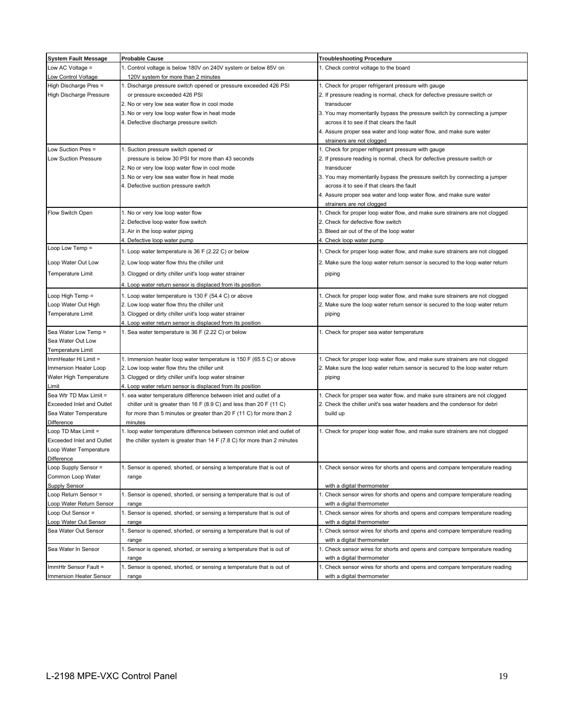| <b>System Fault Message</b>      | <b>Probable Cause</b>                                                                                                                      | <b>Troubleshooting Procedure</b>                                              |
|----------------------------------|--------------------------------------------------------------------------------------------------------------------------------------------|-------------------------------------------------------------------------------|
| Low AC Voltage $=$               | 1. Control voltage is below 180V on 240V system or below 85V on                                                                            | 1. Check control voltage to the board                                         |
| Low Control Voltage              | 120V system for more than 2 minutes                                                                                                        |                                                                               |
| High Discharge Pres =            | 1. Discharge pressure switch opened or pressure exceeded 426 PSI                                                                           | 1. Check for proper refrigerant pressure with gauge                           |
| <b>High Discharge Pressure</b>   | or pressure exceeded 426 PSI                                                                                                               | 2. If pressure reading is normal, check for defective pressure switch or      |
|                                  | 2. No or very low sea water flow in cool mode                                                                                              | transducer                                                                    |
|                                  | 3. No or very low loop water flow in heat mode                                                                                             | 3. You may momentarily bypass the pressure switch by connecting a jumper      |
|                                  | 4. Defective discharge pressure switch                                                                                                     | across it to see if that clears the fault                                     |
|                                  |                                                                                                                                            | 4. Assure proper sea water and loop water flow, and make sure water           |
|                                  |                                                                                                                                            | strainers are not clogged                                                     |
| Low Suction Pres =               | 1. Suction pressure switch opened or                                                                                                       | 1. Check for proper refrigerant pressure with gauge                           |
| <b>Low Suction Pressure</b>      | pressure is below 30 PSI for more than 43 seconds                                                                                          | 2. If pressure reading is normal, check for defective pressure switch or      |
|                                  | 2. No or very low loop water flow in cool mode                                                                                             | transducer                                                                    |
|                                  | 3. No or very low sea water flow in heat mode                                                                                              | 3. You may momentarily bypass the pressure switch by connecting a jumper      |
|                                  | 4. Defective suction pressure switch                                                                                                       | across it to see if that clears the fault                                     |
|                                  |                                                                                                                                            | 4. Assure proper sea water and loop water flow, and make sure water           |
|                                  |                                                                                                                                            | strainers are not clogged                                                     |
| Flow Switch Open                 | 1. No or very low loop water flow                                                                                                          | 1. Check for proper loop water flow, and make sure strainers are not clogged  |
|                                  | 2. Defective loop water flow switch                                                                                                        | 2. Check for defective flow switch                                            |
|                                  | 3. Air in the loop water piping                                                                                                            | 3. Bleed air out of the of the loop water                                     |
|                                  | 4. Defective loop water pump                                                                                                               | 4. Check loop water pump                                                      |
| Loop Low Temp =                  | 1. Loop water temperature is 36 F (2.22 C) or below                                                                                        | 1. Check for proper loop water flow, and make sure strainers are not clogged  |
| Loop Water Out Low               | 2. Low loop water flow thru the chiller unit                                                                                               | 2. Make sure the loop water return sensor is secured to the loop water return |
| <b>Temperature Limit</b>         | 3. Clogged or dirty chiller unit's loop water strainer                                                                                     | piping                                                                        |
|                                  |                                                                                                                                            |                                                                               |
|                                  | 4. Loop water return sensor is displaced from its position                                                                                 |                                                                               |
| Loop High Temp =                 | 1. Loop water temperature is 130 F (54.4 C) or above                                                                                       | 1. Check for proper loop water flow, and make sure strainers are not clogged  |
| Loop Water Out High              | 2. Low loop water flow thru the chiller unit                                                                                               | 2. Make sure the loop water return sensor is secured to the loop water return |
| <b>Temperature Limit</b>         | 3. Clogged or dirty chiller unit's loop water strainer                                                                                     | piping                                                                        |
|                                  | 4. Loop water return sensor is displaced from its position                                                                                 |                                                                               |
| Sea Water Low Temp =             | 1. Sea water temperature is 36 F (2.22 C) or below                                                                                         | 1. Check for proper sea water temperature                                     |
| Sea Water Out Low                |                                                                                                                                            |                                                                               |
| <b>Temperature Limit</b>         |                                                                                                                                            |                                                                               |
| ImmHeater Hi Limit =             | 1. Immersion heater loop water temperature is 150 F (65.5 C) or above                                                                      | 1. Check for proper loop water flow, and make sure strainers are not clogged  |
| Immersion Heater Loop            | 2. Low loop water flow thru the chiller unit                                                                                               | 2. Make sure the loop water return sensor is secured to the loop water return |
| Water High Temperature<br>Limit  | 3. Clogged or dirty chiller unit's loop water strainer                                                                                     | piping                                                                        |
| Sea Wtr TD Max Limit =           | 4. Loop water return sensor is displaced from its position<br>1. sea water temperature difference between inlet and outlet of a            | 1. Check for proper sea water flow, and make sure strainers are not clogged   |
| Exceeded Inlet and Outlet        |                                                                                                                                            | 2. Check the chiller unit's sea water headers and the condensor for debri     |
| Sea Water Temperature            | chiller unit is greater than 16 F (8.9 C) and less than 20 F (11 C)<br>for more than 5 minutes or greater than 20 F (11 C) for more than 2 | build up                                                                      |
| Difference                       | minutes                                                                                                                                    |                                                                               |
| Loop TD Max Limit =              | 1. loop water temperature difference between common inlet and outlet of                                                                    | 1. Check for proper loop water flow, and make sure strainers are not clogged  |
| <b>Exceeded Inlet and Outlet</b> | the chiller system is greater than $14 F (7.8 C)$ for more than 2 minutes                                                                  |                                                                               |
| Loop Water Temperature           |                                                                                                                                            |                                                                               |
| <b>Difference</b>                |                                                                                                                                            |                                                                               |
| Loop Supply Sensor =             | 1. Sensor is opened, shorted, or sensing a temperature that is out of                                                                      | 1. Check sensor wires for shorts and opens and compare temperature reading    |
| Common Loop Water                | range                                                                                                                                      |                                                                               |
| Supply Sensor                    |                                                                                                                                            | with a digital thermometer                                                    |
| Loop Return Sensor =             | 1. Sensor is opened, shorted, or sensing a temperature that is out of                                                                      | 1. Check sensor wires for shorts and opens and compare temperature reading    |
| Loop Water Return Sensor         | range                                                                                                                                      | with a digital thermometer                                                    |
| Loop Out Sensor =                | 1. Sensor is opened, shorted, or sensing a temperature that is out of                                                                      | 1. Check sensor wires for shorts and opens and compare temperature reading    |
| Loop Water Out Sensor            | range                                                                                                                                      | with a digital thermometer                                                    |
| Sea Water Out Sensor             | 1. Sensor is opened, shorted, or sensing a temperature that is out of                                                                      | 1. Check sensor wires for shorts and opens and compare temperature reading    |
|                                  | range                                                                                                                                      | with a digital thermometer                                                    |
| Sea Water In Sensor              | 1. Sensor is opened, shorted, or sensing a temperature that is out of                                                                      | 1. Check sensor wires for shorts and opens and compare temperature reading    |
|                                  | range                                                                                                                                      | with a digital thermometer                                                    |
| ImmHtr Sensor Fault =            | 1. Sensor is opened, shorted, or sensing a temperature that is out of                                                                      | 1. Check sensor wires for shorts and opens and compare temperature reading    |
| Immersion Heater Sensor          | range                                                                                                                                      | with a digital thermometer                                                    |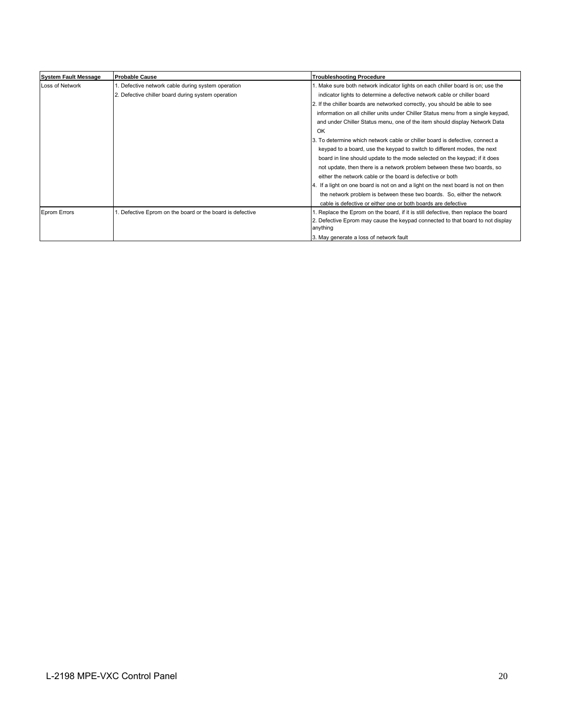| <b>System Fault Message</b> | <b>Probable Cause</b>                                  | <b>Troubleshooting Procedure</b>                                                           |
|-----------------------------|--------------------------------------------------------|--------------------------------------------------------------------------------------------|
| Loss of Network             | . Defective network cable during system operation      | 1. Make sure both network indicator lights on each chiller board is on; use the            |
|                             | 2. Defective chiller board during system operation     | indicator lights to determine a defective network cable or chiller board                   |
|                             |                                                        | 2. If the chiller boards are networked correctly, you should be able to see                |
|                             |                                                        | information on all chiller units under Chiller Status menu from a single keypad,           |
|                             |                                                        | and under Chiller Status menu, one of the item should display Network Data                 |
|                             |                                                        | OK                                                                                         |
|                             |                                                        | 3. To determine which network cable or chiller board is defective, connect a               |
|                             |                                                        | keypad to a board, use the keypad to switch to different modes, the next                   |
|                             |                                                        | board in line should update to the mode selected on the keypad; if it does                 |
|                             |                                                        | not update, then there is a network problem between these two boards, so                   |
|                             |                                                        | either the network cable or the board is defective or both                                 |
|                             |                                                        | 4. If a light on one board is not on and a light on the next board is not on then          |
|                             |                                                        | the network problem is between these two boards. So, either the network                    |
|                             |                                                        | cable is defective or either one or both boards are defective                              |
| <b>Eprom Errors</b>         | Defective Eprom on the board or the board is defective | Replace the Eprom on the board, if it is still defective, then replace the board           |
|                             |                                                        | 2. Defective Eprom may cause the keypad connected to that board to not display<br>anything |
|                             |                                                        | 3. May generate a loss of network fault                                                    |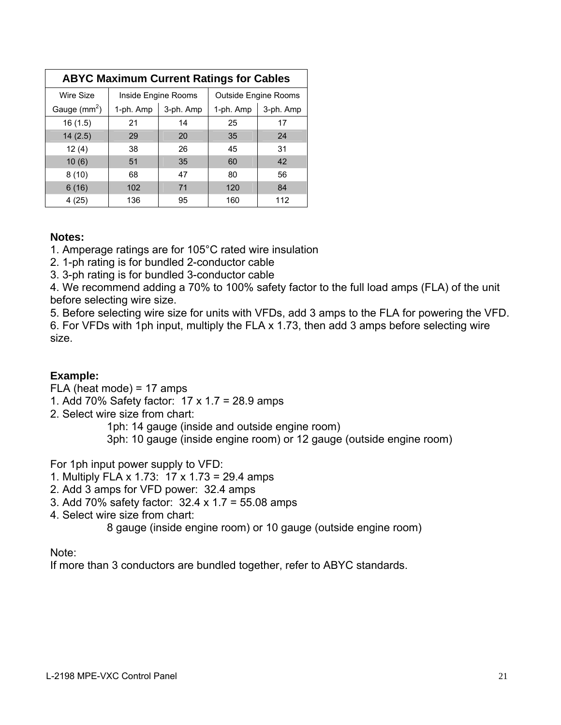| <b>ABYC Maximum Current Ratings for Cables</b> |                     |           |                             |           |  |  |
|------------------------------------------------|---------------------|-----------|-----------------------------|-----------|--|--|
| Wire Size                                      | Inside Engine Rooms |           | <b>Outside Engine Rooms</b> |           |  |  |
| Gauge $(mm^2)$                                 | 1-ph. Amp           | 3-ph. Amp | 1-ph. Amp                   | 3-ph. Amp |  |  |
| 16(1.5)                                        | 21                  | 14        | 25                          | 17        |  |  |
| 14(2.5)                                        | 29                  | 20        | 35                          | 24        |  |  |
| 12(4)                                          | 38                  | 26        | 45                          | 31        |  |  |
| 10(6)                                          | 51                  | 35        | 60                          | 42        |  |  |
| 8(10)                                          | 68                  | 47        | 80                          | 56        |  |  |
| 6(16)                                          | 102                 | 71        | 120                         | 84        |  |  |
| 4(25)                                          | 136                 | 95        | 160                         | 112       |  |  |

# **Notes:**

1. Amperage ratings are for 105°C rated wire insulation

2. 1-ph rating is for bundled 2-conductor cable

3. 3-ph rating is for bundled 3-conductor cable

4. We recommend adding a 70% to 100% safety factor to the full load amps (FLA) of the unit before selecting wire size.

5. Before selecting wire size for units with VFDs, add 3 amps to the FLA for powering the VFD. 6. For VFDs with 1ph input, multiply the FLA x 1.73, then add 3 amps before selecting wire size.

# **Example:**

FLA (heat mode) = 17 amps

1. Add 70% Safety factor: 17 x 1.7 = 28.9 amps

2. Select wire size from chart:

1ph: 14 gauge (inside and outside engine room)

3ph: 10 gauge (inside engine room) or 12 gauge (outside engine room)

For 1ph input power supply to VFD:

- 1. Multiply FLA x 1.73: 17 x 1.73 = 29.4 amps
- 2. Add 3 amps for VFD power: 32.4 amps
- 3. Add 70% safety factor: 32.4 x 1.7 = 55.08 amps
- 4. Select wire size from chart:

8 gauge (inside engine room) or 10 gauge (outside engine room)

# Note:

If more than 3 conductors are bundled together, refer to ABYC standards.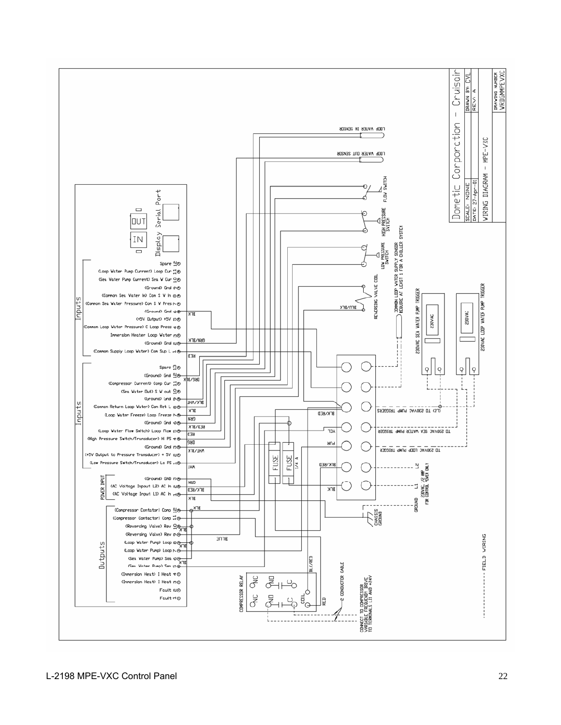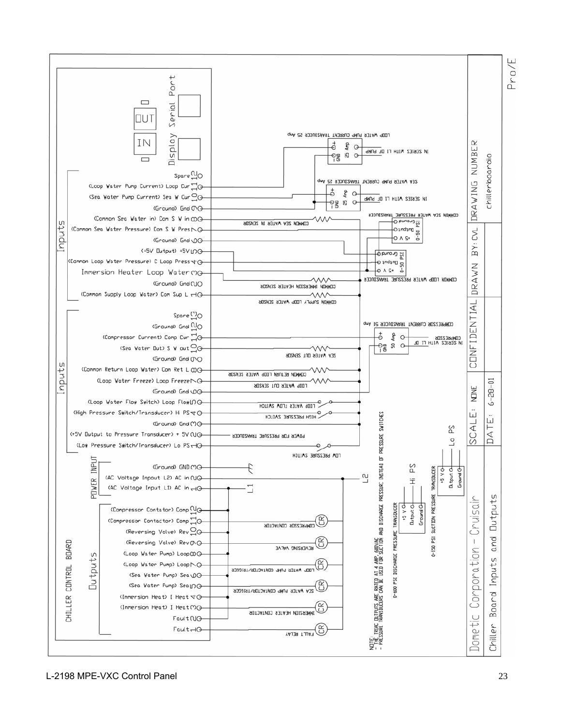